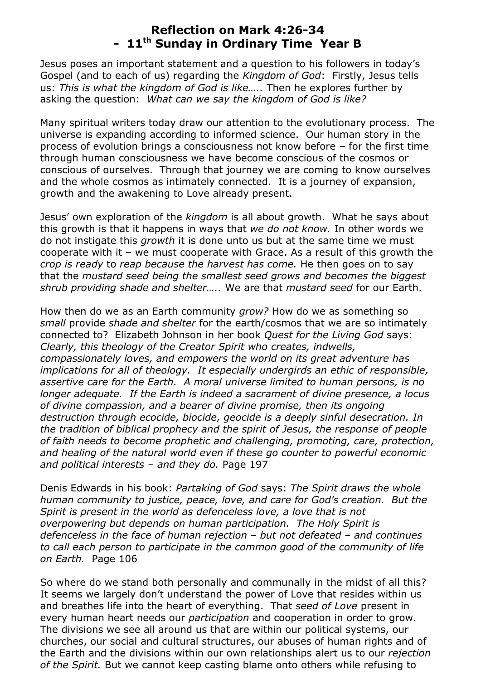## **Reflection on Mark 4:26-34 - 11th Sunday in Ordinary Time Year B**

Jesus poses an important statement and a question to his followers in today's Gospel (and to each of us) regarding the *Kingdom of God*: Firstly, Jesus tells us: *This is what the kingdom of God is like…..* Then he explores further by asking the question: *What can we say the kingdom of God is like?*

Many spiritual writers today draw our attention to the evolutionary process. The universe is expanding according to informed science. Our human story in the process of evolution brings a consciousness not know before – for the first time through human consciousness we have become conscious of the cosmos or conscious of ourselves. Through that journey we are coming to know ourselves and the whole cosmos as intimately connected. It is a journey of expansion, growth and the awakening to Love already present.

Jesus' own exploration of the *kingdom* is all about growth. What he says about this growth is that it happens in ways that *we do not know.* In other words we do not instigate this *growth* it is done unto us but at the same time we must cooperate with it – we must cooperate with Grace. As a result of this growth the *crop is ready* to *reap because the harvest has come.* He then goes on to say that the *mustard seed being the smallest seed grows and becomes the biggest shrub providing shade and shelter…..* We are that *mustard seed* for our Earth.

How then do we as an Earth community *grow?* How do we as something so *small* provide *shade and shelter* for the earth/cosmos that we are so intimately connected to? Elizabeth Johnson in her book *Quest for the Living God* says: *Clearly, this theology of the Creator Spirit who creates, indwells, compassionately loves, and empowers the world on its great adventure has implications for all of theology. It especially undergirds an ethic of responsible, assertive care for the Earth. A moral universe limited to human persons, is no longer adequate. If the Earth is indeed a sacrament of divine presence, a locus of divine compassion, and a bearer of divine promise, then its ongoing destruction through ecocide, biocide, geocide is a deeply sinful desecration. In the tradition of biblical prophecy and the spirit of Jesus, the response of people of faith needs to become prophetic and challenging, promoting, care, protection, and healing of the natural world even if these go counter to powerful economic and political interests – and they do.* Page 197

Denis Edwards in his book: *Partaking of God* says: *The Spirit draws the whole human community to justice, peace, love, and care for God's creation. But the Spirit is present in the world as defenceless love, a love that is not overpowering but depends on human participation. The Holy Spirit is defenceless in the face of human rejection – but not defeated – and continues to call each person to participate in the common good of the community of life on Earth.* Page 106

So where do we stand both personally and communally in the midst of all this? It seems we largely don't understand the power of Love that resides within us and breathes life into the heart of everything. That *seed of Love* present in every human heart needs our *participation* and cooperation in order to grow. The divisions we see all around us that are within our political systems, our churches, our social and cultural structures, our abuses of human rights and of the Earth and the divisions within our own relationships alert us to our *rejection of the Spirit.* But we cannot keep casting blame onto others while refusing to